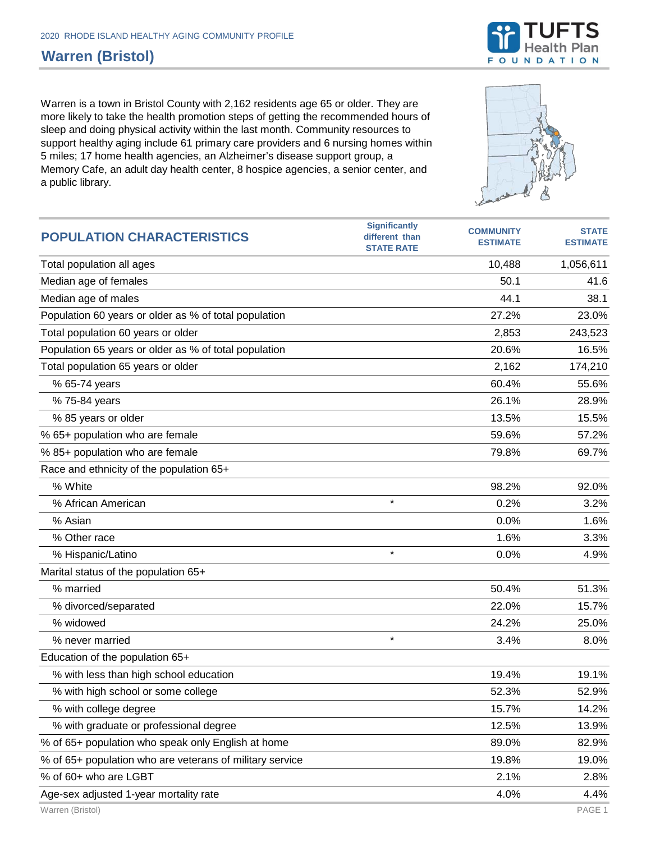## **Warren (Bristol)**

Warren is a town in Bristol County with 2,162 residents age 65 or older. They are more likely to take the health promotion steps of getting the recommended hours of sleep and doing physical activity within the last month. Community resources to support healthy aging include 61 primary care providers and 6 nursing homes within 5 miles; 17 home health agencies, an Alzheimer's disease support group, a Memory Cafe, an adult day health center, 8 hospice agencies, a senior center, and a public library.

|                                                          | <b>Significantly</b>                | <b>COMMUNITY</b> | <b>STATE</b>    |
|----------------------------------------------------------|-------------------------------------|------------------|-----------------|
| <b>POPULATION CHARACTERISTICS</b>                        | different than<br><b>STATE RATE</b> | <b>ESTIMATE</b>  | <b>ESTIMATE</b> |
| Total population all ages                                |                                     | 10,488           | 1,056,611       |
| Median age of females                                    |                                     | 50.1             | 41.6            |
| Median age of males                                      |                                     | 44.1             | 38.1            |
| Population 60 years or older as % of total population    |                                     | 27.2%            | 23.0%           |
| Total population 60 years or older                       |                                     | 2,853            | 243,523         |
| Population 65 years or older as % of total population    |                                     | 20.6%            | 16.5%           |
| Total population 65 years or older                       |                                     | 2,162            | 174,210         |
| % 65-74 years                                            |                                     | 60.4%            | 55.6%           |
| % 75-84 years                                            |                                     | 26.1%            | 28.9%           |
| % 85 years or older                                      |                                     | 13.5%            | 15.5%           |
| % 65+ population who are female                          |                                     | 59.6%            | 57.2%           |
| % 85+ population who are female                          |                                     | 79.8%            | 69.7%           |
| Race and ethnicity of the population 65+                 |                                     |                  |                 |
| % White                                                  |                                     | 98.2%            | 92.0%           |
| % African American                                       | $\star$                             | 0.2%             | 3.2%            |
| % Asian                                                  |                                     | 0.0%             | 1.6%            |
| % Other race                                             |                                     | 1.6%             | 3.3%            |
| % Hispanic/Latino                                        | $\star$                             | 0.0%             | 4.9%            |
| Marital status of the population 65+                     |                                     |                  |                 |
| % married                                                |                                     | 50.4%            | 51.3%           |
| % divorced/separated                                     |                                     | 22.0%            | 15.7%           |
| % widowed                                                |                                     | 24.2%            | 25.0%           |
| % never married                                          | $\star$                             | 3.4%             | 8.0%            |
| Education of the population 65+                          |                                     |                  |                 |
| % with less than high school education                   |                                     | 19.4%            | 19.1%           |
| % with high school or some college                       |                                     | 52.3%            | 52.9%           |
| % with college degree                                    |                                     | 15.7%            | 14.2%           |
| % with graduate or professional degree                   |                                     | 12.5%            | 13.9%           |
| % of 65+ population who speak only English at home       |                                     | 89.0%            | 82.9%           |
| % of 65+ population who are veterans of military service |                                     | 19.8%            | 19.0%           |
| % of 60+ who are LGBT                                    |                                     | 2.1%             | 2.8%            |
| Age-sex adjusted 1-year mortality rate                   |                                     | 4.0%             | 4.4%            |
| Warren (Bristol)                                         |                                     |                  | PAGE 1          |



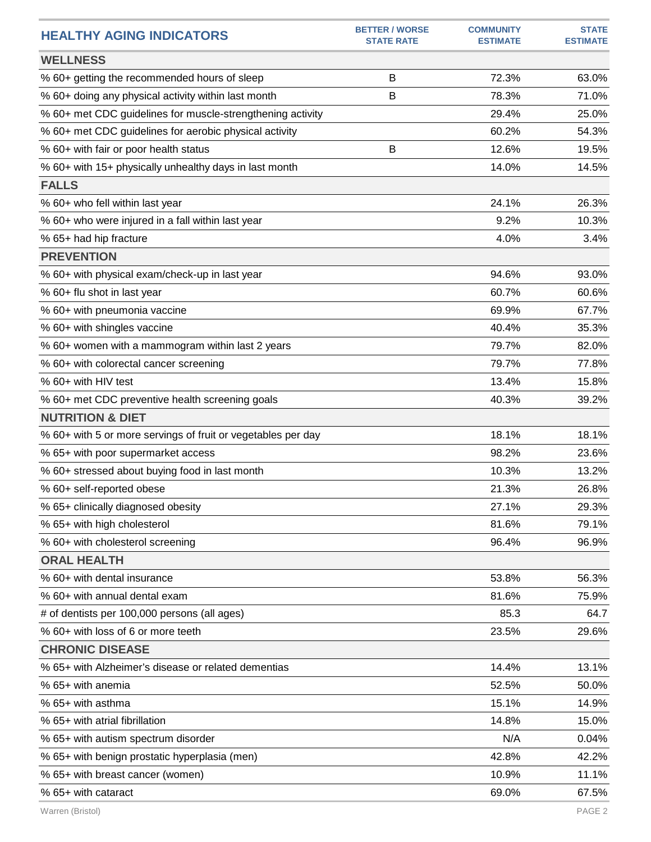| <b>HEALTHY AGING INDICATORS</b>                              | <b>BETTER / WORSE</b><br><b>STATE RATE</b> | <b>COMMUNITY</b><br><b>ESTIMATE</b> | <b>STATE</b><br><b>ESTIMATE</b> |
|--------------------------------------------------------------|--------------------------------------------|-------------------------------------|---------------------------------|
| <b>WELLNESS</b>                                              |                                            |                                     |                                 |
| % 60+ getting the recommended hours of sleep                 | B                                          | 72.3%                               | 63.0%                           |
| % 60+ doing any physical activity within last month          | B                                          | 78.3%                               | 71.0%                           |
| % 60+ met CDC guidelines for muscle-strengthening activity   |                                            | 29.4%                               | 25.0%                           |
| % 60+ met CDC guidelines for aerobic physical activity       |                                            | 60.2%                               | 54.3%                           |
| % 60+ with fair or poor health status                        | B                                          | 12.6%                               | 19.5%                           |
| % 60+ with 15+ physically unhealthy days in last month       |                                            | 14.0%                               | 14.5%                           |
| <b>FALLS</b>                                                 |                                            |                                     |                                 |
| % 60+ who fell within last year                              |                                            | 24.1%                               | 26.3%                           |
| % 60+ who were injured in a fall within last year            |                                            | 9.2%                                | 10.3%                           |
| % 65+ had hip fracture                                       |                                            | 4.0%                                | 3.4%                            |
| <b>PREVENTION</b>                                            |                                            |                                     |                                 |
| % 60+ with physical exam/check-up in last year               |                                            | 94.6%                               | 93.0%                           |
| % 60+ flu shot in last year                                  |                                            | 60.7%                               | 60.6%                           |
| % 60+ with pneumonia vaccine                                 |                                            | 69.9%                               | 67.7%                           |
| % 60+ with shingles vaccine                                  |                                            | 40.4%                               | 35.3%                           |
| % 60+ women with a mammogram within last 2 years             |                                            | 79.7%                               | 82.0%                           |
| % 60+ with colorectal cancer screening                       |                                            | 79.7%                               | 77.8%                           |
| % 60+ with HIV test                                          |                                            | 13.4%                               | 15.8%                           |
| % 60+ met CDC preventive health screening goals              |                                            | 40.3%                               | 39.2%                           |
| <b>NUTRITION &amp; DIET</b>                                  |                                            |                                     |                                 |
| % 60+ with 5 or more servings of fruit or vegetables per day |                                            | 18.1%                               | 18.1%                           |
| % 65+ with poor supermarket access                           |                                            | 98.2%                               | 23.6%                           |
| % 60+ stressed about buying food in last month               |                                            | 10.3%                               | 13.2%                           |
| % 60+ self-reported obese                                    |                                            | 21.3%                               | 26.8%                           |
| % 65+ clinically diagnosed obesity                           |                                            | 27.1%                               | 29.3%                           |
| % 65+ with high cholesterol                                  |                                            | 81.6%                               | 79.1%                           |
| % 60+ with cholesterol screening                             |                                            | 96.4%                               | 96.9%                           |
| <b>ORAL HEALTH</b>                                           |                                            |                                     |                                 |
| % 60+ with dental insurance                                  |                                            | 53.8%                               | 56.3%                           |
| % 60+ with annual dental exam                                |                                            | 81.6%                               | 75.9%                           |
| # of dentists per 100,000 persons (all ages)                 |                                            | 85.3                                | 64.7                            |
| % 60+ with loss of 6 or more teeth                           |                                            | 23.5%                               | 29.6%                           |
| <b>CHRONIC DISEASE</b>                                       |                                            |                                     |                                 |
| % 65+ with Alzheimer's disease or related dementias          |                                            | 14.4%                               | 13.1%                           |
| % 65+ with anemia                                            |                                            | 52.5%                               | 50.0%                           |
| % 65+ with asthma                                            |                                            | 15.1%                               | 14.9%                           |
| % 65+ with atrial fibrillation                               |                                            | 14.8%                               | 15.0%                           |
| % 65+ with autism spectrum disorder                          |                                            | N/A                                 | 0.04%                           |
| % 65+ with benign prostatic hyperplasia (men)                |                                            | 42.8%                               | 42.2%                           |
| % 65+ with breast cancer (women)                             |                                            | 10.9%                               | 11.1%                           |
| % 65+ with cataract                                          |                                            | 69.0%                               | 67.5%                           |
|                                                              |                                            |                                     |                                 |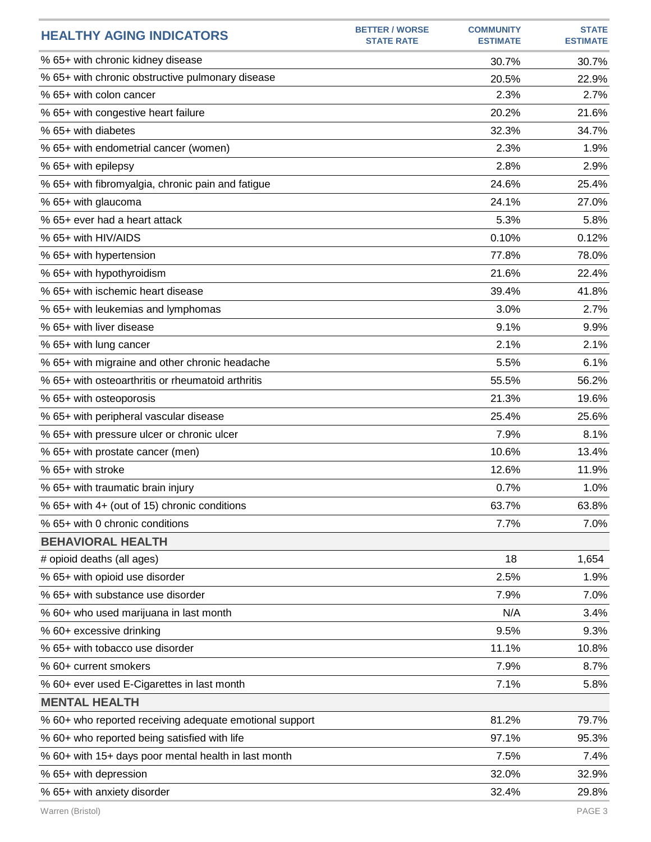| <b>HEALTHY AGING INDICATORS</b>                         | <b>BETTER / WORSE</b><br><b>STATE RATE</b> | <b>COMMUNITY</b><br><b>ESTIMATE</b> | <b>STATE</b><br><b>ESTIMATE</b> |
|---------------------------------------------------------|--------------------------------------------|-------------------------------------|---------------------------------|
| % 65+ with chronic kidney disease                       |                                            | 30.7%                               | 30.7%                           |
| % 65+ with chronic obstructive pulmonary disease        |                                            | 20.5%                               | 22.9%                           |
| % 65+ with colon cancer                                 |                                            | 2.3%                                | 2.7%                            |
| % 65+ with congestive heart failure                     |                                            | 20.2%                               | 21.6%                           |
| % 65+ with diabetes                                     |                                            | 32.3%                               | 34.7%                           |
| % 65+ with endometrial cancer (women)                   |                                            | 2.3%                                | 1.9%                            |
| % 65+ with epilepsy                                     |                                            | 2.8%                                | 2.9%                            |
| % 65+ with fibromyalgia, chronic pain and fatigue       |                                            | 24.6%                               | 25.4%                           |
| % 65+ with glaucoma                                     |                                            | 24.1%                               | 27.0%                           |
| % 65+ ever had a heart attack                           |                                            | 5.3%                                | 5.8%                            |
| % 65+ with HIV/AIDS                                     |                                            | 0.10%                               | 0.12%                           |
| % 65+ with hypertension                                 |                                            | 77.8%                               | 78.0%                           |
| % 65+ with hypothyroidism                               |                                            | 21.6%                               | 22.4%                           |
| % 65+ with ischemic heart disease                       |                                            | 39.4%                               | 41.8%                           |
| % 65+ with leukemias and lymphomas                      |                                            | 3.0%                                | 2.7%                            |
| % 65+ with liver disease                                |                                            | 9.1%                                | 9.9%                            |
| % 65+ with lung cancer                                  |                                            | 2.1%                                | 2.1%                            |
| % 65+ with migraine and other chronic headache          |                                            | 5.5%                                | 6.1%                            |
| % 65+ with osteoarthritis or rheumatoid arthritis       |                                            | 55.5%                               | 56.2%                           |
| % 65+ with osteoporosis                                 |                                            | 21.3%                               | 19.6%                           |
| % 65+ with peripheral vascular disease                  |                                            | 25.4%                               | 25.6%                           |
| % 65+ with pressure ulcer or chronic ulcer              |                                            | 7.9%                                | 8.1%                            |
| % 65+ with prostate cancer (men)                        |                                            | 10.6%                               | 13.4%                           |
| % 65+ with stroke                                       |                                            | 12.6%                               | 11.9%                           |
| % 65+ with traumatic brain injury                       |                                            | 0.7%                                | 1.0%                            |
| % 65+ with 4+ (out of 15) chronic conditions            |                                            | 63.7%                               | 63.8%                           |
| % 65+ with 0 chronic conditions                         |                                            | 7.7%                                | 7.0%                            |
| <b>BEHAVIORAL HEALTH</b>                                |                                            |                                     |                                 |
| # opioid deaths (all ages)                              |                                            | 18                                  | 1,654                           |
| % 65+ with opioid use disorder                          |                                            | 2.5%                                | 1.9%                            |
| % 65+ with substance use disorder                       |                                            | 7.9%                                | 7.0%                            |
| % 60+ who used marijuana in last month                  |                                            | N/A                                 | 3.4%                            |
| % 60+ excessive drinking                                |                                            | 9.5%                                | 9.3%                            |
| % 65+ with tobacco use disorder                         |                                            | 11.1%                               | 10.8%                           |
| % 60+ current smokers                                   |                                            | 7.9%                                | 8.7%                            |
| % 60+ ever used E-Cigarettes in last month              |                                            | 7.1%                                | 5.8%                            |
| <b>MENTAL HEALTH</b>                                    |                                            |                                     |                                 |
| % 60+ who reported receiving adequate emotional support |                                            | 81.2%                               | 79.7%                           |
| % 60+ who reported being satisfied with life            |                                            | 97.1%                               | 95.3%                           |
| % 60+ with 15+ days poor mental health in last month    |                                            | 7.5%                                | 7.4%                            |
| % 65+ with depression                                   |                                            | 32.0%                               | 32.9%                           |
| % 65+ with anxiety disorder                             |                                            | 32.4%                               | 29.8%                           |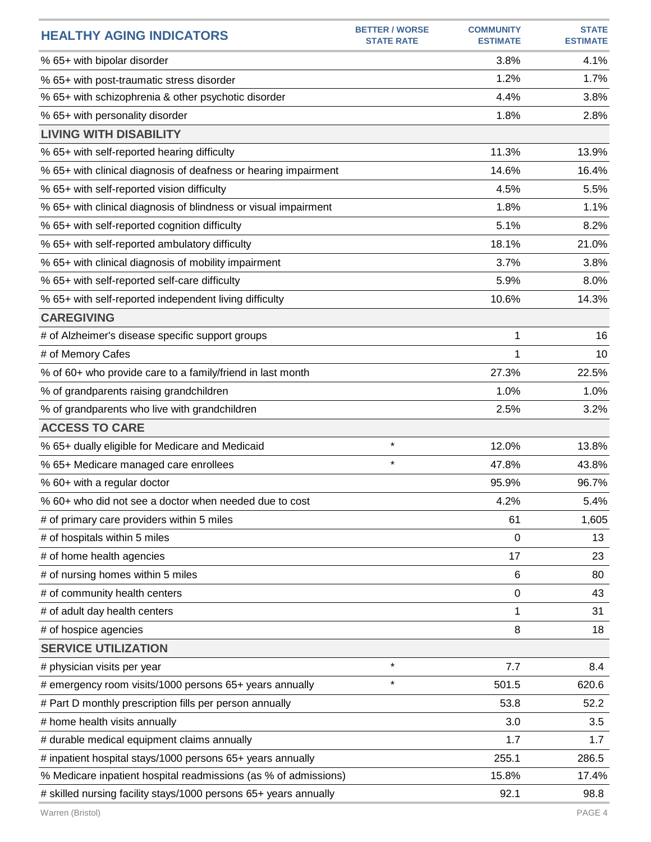| <b>HEALTHY AGING INDICATORS</b>                                  | <b>BETTER / WORSE</b><br><b>STATE RATE</b> | <b>COMMUNITY</b><br><b>ESTIMATE</b> | <b>STATE</b><br><b>ESTIMATE</b> |
|------------------------------------------------------------------|--------------------------------------------|-------------------------------------|---------------------------------|
| % 65+ with bipolar disorder                                      |                                            | 3.8%                                | 4.1%                            |
| % 65+ with post-traumatic stress disorder                        |                                            | 1.2%                                | 1.7%                            |
| % 65+ with schizophrenia & other psychotic disorder              |                                            | 4.4%                                | 3.8%                            |
| % 65+ with personality disorder                                  |                                            | 1.8%                                | 2.8%                            |
| <b>LIVING WITH DISABILITY</b>                                    |                                            |                                     |                                 |
| % 65+ with self-reported hearing difficulty                      |                                            | 11.3%                               | 13.9%                           |
| % 65+ with clinical diagnosis of deafness or hearing impairment  |                                            | 14.6%                               | 16.4%                           |
| % 65+ with self-reported vision difficulty                       |                                            | 4.5%                                | 5.5%                            |
| % 65+ with clinical diagnosis of blindness or visual impairment  |                                            | 1.8%                                | 1.1%                            |
| % 65+ with self-reported cognition difficulty                    |                                            | 5.1%                                | 8.2%                            |
| % 65+ with self-reported ambulatory difficulty                   |                                            | 18.1%                               | 21.0%                           |
| % 65+ with clinical diagnosis of mobility impairment             |                                            | 3.7%                                | 3.8%                            |
| % 65+ with self-reported self-care difficulty                    |                                            | 5.9%                                | 8.0%                            |
| % 65+ with self-reported independent living difficulty           |                                            | 10.6%                               | 14.3%                           |
| <b>CAREGIVING</b>                                                |                                            |                                     |                                 |
| # of Alzheimer's disease specific support groups                 |                                            | 1                                   | 16                              |
| # of Memory Cafes                                                |                                            | 1                                   | 10                              |
| % of 60+ who provide care to a family/friend in last month       |                                            | 27.3%                               | 22.5%                           |
| % of grandparents raising grandchildren                          |                                            | 1.0%                                | 1.0%                            |
| % of grandparents who live with grandchildren                    |                                            | 2.5%                                | 3.2%                            |
| <b>ACCESS TO CARE</b>                                            |                                            |                                     |                                 |
| % 65+ dually eligible for Medicare and Medicaid                  | $\star$                                    | 12.0%                               | 13.8%                           |
| % 65+ Medicare managed care enrollees                            | $\star$                                    | 47.8%                               | 43.8%                           |
| % 60+ with a regular doctor                                      |                                            | 95.9%                               | 96.7%                           |
| % 60+ who did not see a doctor when needed due to cost           |                                            | 4.2%                                | 5.4%                            |
| # of primary care providers within 5 miles                       |                                            | 61                                  | 1,605                           |
| # of hospitals within 5 miles                                    |                                            | 0                                   | 13                              |
| # of home health agencies                                        |                                            | 17                                  | 23                              |
| # of nursing homes within 5 miles                                |                                            | 6                                   | 80                              |
| # of community health centers                                    |                                            | 0                                   | 43                              |
| # of adult day health centers                                    |                                            | 1                                   | 31                              |
| # of hospice agencies                                            |                                            | 8                                   | 18                              |
| <b>SERVICE UTILIZATION</b>                                       |                                            |                                     |                                 |
| # physician visits per year                                      | $\star$                                    | 7.7                                 | 8.4                             |
| # emergency room visits/1000 persons 65+ years annually          | $\star$                                    | 501.5                               | 620.6                           |
| # Part D monthly prescription fills per person annually          |                                            | 53.8                                | 52.2                            |
| # home health visits annually                                    |                                            | 3.0                                 | 3.5                             |
| # durable medical equipment claims annually                      |                                            | 1.7                                 | 1.7                             |
| # inpatient hospital stays/1000 persons 65+ years annually       |                                            | 255.1                               | 286.5                           |
| % Medicare inpatient hospital readmissions (as % of admissions)  |                                            | 15.8%                               | 17.4%                           |
| # skilled nursing facility stays/1000 persons 65+ years annually |                                            | 92.1                                | 98.8                            |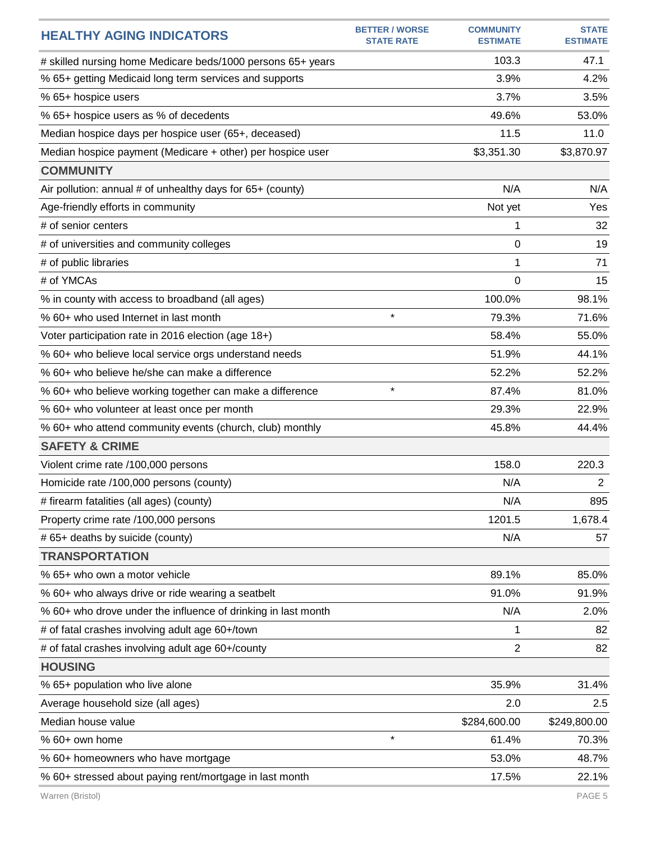| <b>HEALTHY AGING INDICATORS</b>                               | <b>BETTER / WORSE</b><br><b>STATE RATE</b> | <b>COMMUNITY</b><br><b>ESTIMATE</b> | <b>STATE</b><br><b>ESTIMATE</b> |
|---------------------------------------------------------------|--------------------------------------------|-------------------------------------|---------------------------------|
| # skilled nursing home Medicare beds/1000 persons 65+ years   |                                            | 103.3                               | 47.1                            |
| % 65+ getting Medicaid long term services and supports        |                                            | 3.9%                                | 4.2%                            |
| % 65+ hospice users                                           |                                            | 3.7%                                | 3.5%                            |
| % 65+ hospice users as % of decedents                         |                                            | 49.6%                               | 53.0%                           |
| Median hospice days per hospice user (65+, deceased)          |                                            | 11.5                                | 11.0                            |
| Median hospice payment (Medicare + other) per hospice user    |                                            | \$3,351.30                          | \$3,870.97                      |
| <b>COMMUNITY</b>                                              |                                            |                                     |                                 |
| Air pollution: annual # of unhealthy days for 65+ (county)    |                                            | N/A                                 | N/A                             |
| Age-friendly efforts in community                             |                                            | Not yet                             | Yes                             |
| # of senior centers                                           |                                            | 1                                   | 32                              |
| # of universities and community colleges                      |                                            | 0                                   | 19                              |
| # of public libraries                                         |                                            | 1                                   | 71                              |
| # of YMCAs                                                    |                                            | $\Omega$                            | 15                              |
| % in county with access to broadband (all ages)               |                                            | 100.0%                              | 98.1%                           |
| % 60+ who used Internet in last month                         | $\star$                                    | 79.3%                               | 71.6%                           |
| Voter participation rate in 2016 election (age 18+)           |                                            | 58.4%                               | 55.0%                           |
| % 60+ who believe local service orgs understand needs         |                                            | 51.9%                               | 44.1%                           |
| % 60+ who believe he/she can make a difference                |                                            | 52.2%                               | 52.2%                           |
| % 60+ who believe working together can make a difference      | $\star$                                    | 87.4%                               | 81.0%                           |
| % 60+ who volunteer at least once per month                   |                                            | 29.3%                               | 22.9%                           |
| % 60+ who attend community events (church, club) monthly      |                                            | 45.8%                               | 44.4%                           |
| <b>SAFETY &amp; CRIME</b>                                     |                                            |                                     |                                 |
| Violent crime rate /100,000 persons                           |                                            | 158.0                               | 220.3                           |
| Homicide rate /100,000 persons (county)                       |                                            | N/A                                 | $\overline{2}$                  |
| # firearm fatalities (all ages) (county)                      |                                            | N/A                                 | 895                             |
| Property crime rate /100,000 persons                          |                                            | 1201.5                              | 1,678.4                         |
| # 65+ deaths by suicide (county)                              |                                            | N/A                                 | 57                              |
| <b>TRANSPORTATION</b>                                         |                                            |                                     |                                 |
| % 65+ who own a motor vehicle                                 |                                            | 89.1%                               | 85.0%                           |
| % 60+ who always drive or ride wearing a seatbelt             |                                            | 91.0%                               | 91.9%                           |
| % 60+ who drove under the influence of drinking in last month |                                            | N/A                                 | 2.0%                            |
| # of fatal crashes involving adult age 60+/town               |                                            | 1                                   | 82                              |
| # of fatal crashes involving adult age 60+/county             |                                            | $\overline{c}$                      | 82                              |
| <b>HOUSING</b>                                                |                                            |                                     |                                 |
| % 65+ population who live alone                               |                                            | 35.9%                               | 31.4%                           |
| Average household size (all ages)                             |                                            | 2.0                                 | 2.5                             |
| Median house value                                            |                                            | \$284,600.00                        | \$249,800.00                    |
| % 60+ own home                                                | $\star$                                    | 61.4%                               | 70.3%                           |
| % 60+ homeowners who have mortgage                            |                                            | 53.0%                               | 48.7%                           |
| % 60+ stressed about paying rent/mortgage in last month       |                                            | 17.5%                               | 22.1%                           |